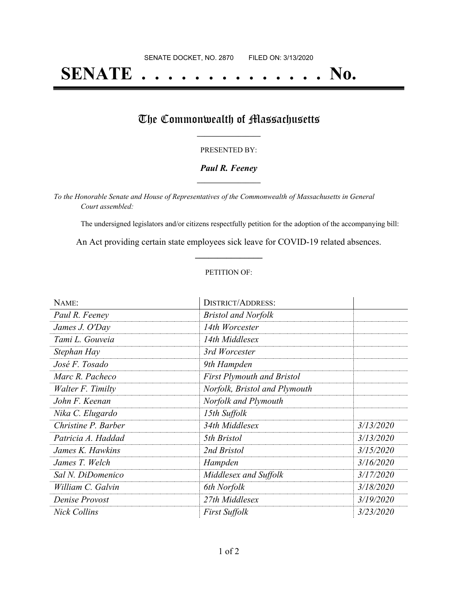# **SENATE . . . . . . . . . . . . . . No.**

## The Commonwealth of Massachusetts

#### PRESENTED BY:

#### *Paul R. Feeney* **\_\_\_\_\_\_\_\_\_\_\_\_\_\_\_\_\_**

*To the Honorable Senate and House of Representatives of the Commonwealth of Massachusetts in General Court assembled:*

The undersigned legislators and/or citizens respectfully petition for the adoption of the accompanying bill:

An Act providing certain state employees sick leave for COVID-19 related absences. **\_\_\_\_\_\_\_\_\_\_\_\_\_\_\_**

#### PETITION OF:

| NAME:               | <b>DISTRICT/ADDRESS:</b>          |           |
|---------------------|-----------------------------------|-----------|
| Paul R. Feeney      | <b>Bristol and Norfolk</b>        |           |
| James J. O'Day      | 14th Worcester                    |           |
| Tami L. Gouveia     | 14th Middlesex                    |           |
| Stephan Hay         | 3rd Worcester                     |           |
| José F. Tosado      | 9th Hampden                       |           |
| Marc R. Pacheco     | <b>First Plymouth and Bristol</b> |           |
| Walter F. Timilty   | Norfolk, Bristol and Plymouth     |           |
| John F. Keenan      | Norfolk and Plymouth              |           |
| Nika C. Elugardo    | 15th Suffolk                      |           |
| Christine P. Barber | 34th Middlesex                    | 3/13/2020 |
| Patricia A. Haddad  | 5th Bristol                       | 3/13/2020 |
| James K. Hawkins    | 2nd Bristol                       | 3/15/2020 |
| James T. Welch      | Hampden                           | 3/16/2020 |
| Sal N. DiDomenico   | Middlesex and Suffolk             | 3/17/2020 |
| William C. Galvin   | 6th Norfolk                       | 3/18/2020 |
| Denise Provost      | 27th Middlesex                    | 3/19/2020 |
| Nick Collins        | <b>First Suffolk</b>              | 3/23/2020 |